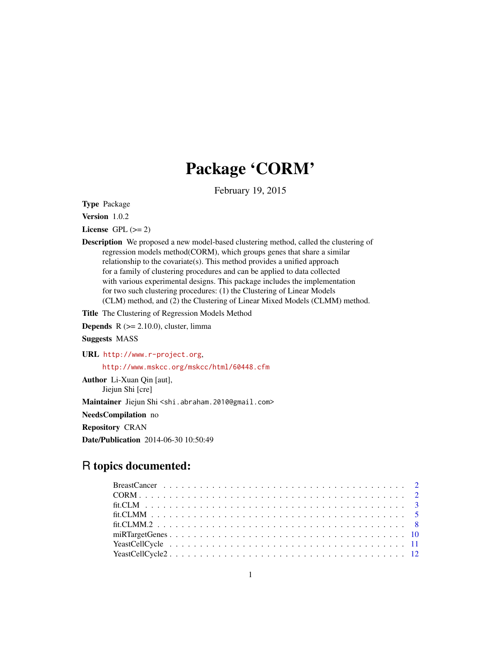## Package 'CORM'

February 19, 2015

Type Package

Version 1.0.2

License GPL  $(>= 2)$ 

Description We proposed a new model-based clustering method, called the clustering of regression models method(CORM), which groups genes that share a similar relationship to the covariate(s). This method provides a unified approach for a family of clustering procedures and can be applied to data collected with various experimental designs. This package includes the implementation for two such clustering procedures: (1) the Clustering of Linear Models (CLM) method, and (2) the Clustering of Linear Mixed Models (CLMM) method.

Title The Clustering of Regression Models Method

**Depends**  $R$  ( $>= 2.10.0$ ), cluster, limma

Suggests MASS

URL <http://www.r-project.org>, <http://www.mskcc.org/mskcc/html/60448.cfm>

Author Li-Xuan Qin [aut], Jiejun Shi [cre] Maintainer Jiejun Shi <shi.abraham.2010@gmail.com> NeedsCompilation no Repository CRAN Date/Publication 2014-06-30 10:50:49

## R topics documented: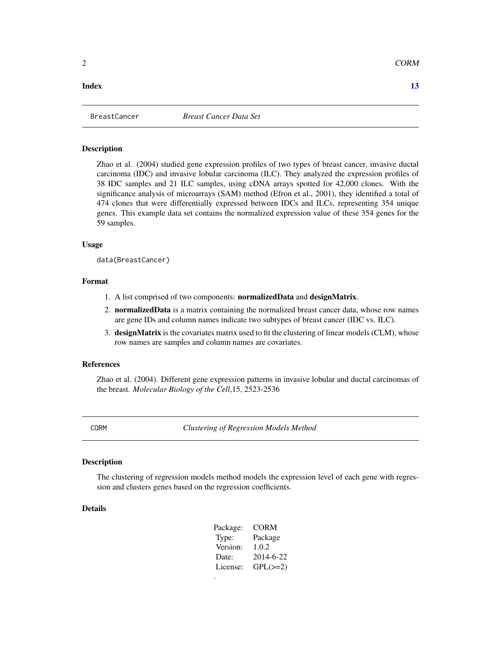## <span id="page-1-0"></span>**Index** [13](#page-12-0)

## Description

Zhao et al. (2004) studied gene expression profiles of two types of breast cancer, invasive ductal carcinoma (IDC) and invasive lobular carcinoma (ILC). They analyzed the expression profiles of 38 IDC samples and 21 ILC samples, using cDNA arrays spotted for 42,000 clones. With the significance analysis of microarrays (SAM) method (Efron et al., 2001), they identified a total of 474 clones that were differentially expressed between IDCs and ILCs, representing 354 unique genes. This example data set contains the normalized expression value of these 354 genes for the 59 samples.

#### Usage

```
data(BreastCancer)
```
## Format

- 1. A list comprised of two components: normalizedData and designMatrix.
- 2. normalizedData is a matrix containing the normalized breast cancer data, whose row names are gene IDs and column names indicate two subtypes of breast cancer (IDC vs. ILC).
- 3. designMatrix is the covariates matrix used to fit the clustering of linear models (CLM), whose row names are samples and column names are covariates.

## References

Zhao et al. (2004). Different gene expression patterns in invasive lobular and ductal carcinomas of the breast. *Molecular Biology of the Cell*,15, 2523-2536

CORM *Clustering of Regression Models Method*

## **Description**

The clustering of regression models method models the expression level of each gene with regression and clusters genes based on the regression coefficients.

## Details

| Package: | CORM          |
|----------|---------------|
| Type:    | Package       |
| Version: | 1.0.2         |
| Date:    | 2014-6-22     |
| License: | $GPL(\geq=2)$ |
|          |               |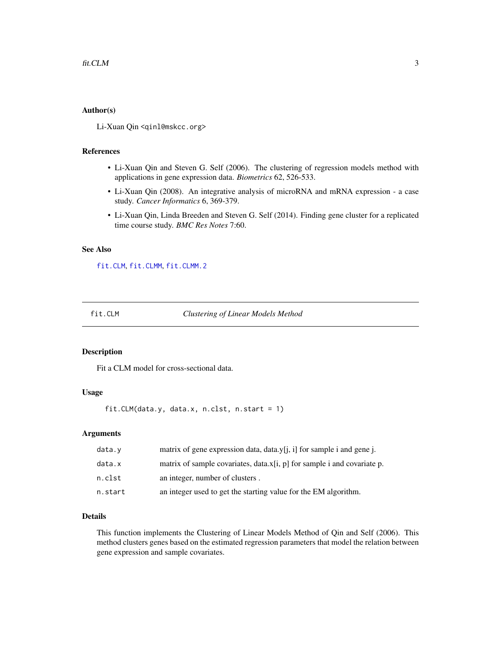#### <span id="page-2-0"></span>Author(s)

Li-Xuan Qin <qinl@mskcc.org>

#### References

- Li-Xuan Qin and Steven G. Self (2006). The clustering of regression models method with applications in gene expression data. *Biometrics* 62, 526-533.
- Li-Xuan Qin (2008). An integrative analysis of microRNA and mRNA expression a case study. *Cancer Informatics* 6, 369-379.
- Li-Xuan Qin, Linda Breeden and Steven G. Self (2014). Finding gene cluster for a replicated time course study. *BMC Res Notes* 7:60.

## See Also

[fit.CLM](#page-2-1), [fit.CLMM](#page-4-1), [fit.CLMM.2](#page-7-1)

<span id="page-2-1"></span>

fit.CLM *Clustering of Linear Models Method*

## Description

Fit a CLM model for cross-sectional data.

## Usage

fit.CLM(data.y, data.x, n.clst, n.start = 1)

#### Arguments

| data.v  | matrix of gene expression data, data.y[j, i] for sample i and gene j.   |
|---------|-------------------------------------------------------------------------|
| data.x  | matrix of sample covariates, data.x[i, p] for sample i and covariate p. |
| n.clst  | an integer, number of clusters.                                         |
| n.start | an integer used to get the starting value for the EM algorithm.         |

#### Details

This function implements the Clustering of Linear Models Method of Qin and Self (2006). This method clusters genes based on the estimated regression parameters that model the relation between gene expression and sample covariates.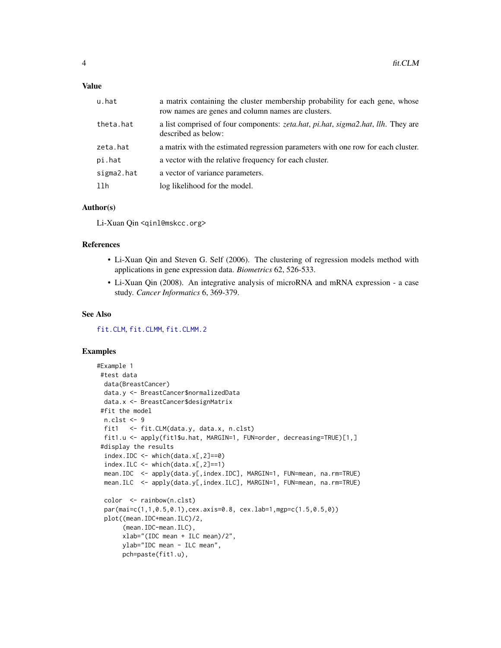## <span id="page-3-0"></span>Value

| u.hat      | a matrix containing the cluster membership probability for each gene, whose<br>row names are genes and column names are clusters. |
|------------|-----------------------------------------------------------------------------------------------------------------------------------|
| theta.hat  | a list comprised of four components: <i>zeta.hat, pi.hat, sigma2.hat, llh.</i> They are<br>described as below:                    |
| zeta.hat   | a matrix with the estimated regression parameters with one row for each cluster.                                                  |
| pi.hat     | a vector with the relative frequency for each cluster.                                                                            |
| sigma2.hat | a vector of variance parameters.                                                                                                  |
| 11h        | log likelihood for the model.                                                                                                     |

## Author(s)

Li-Xuan Qin <qinl@mskcc.org>

## References

- Li-Xuan Qin and Steven G. Self (2006). The clustering of regression models method with applications in gene expression data. *Biometrics* 62, 526-533.
- Li-Xuan Qin (2008). An integrative analysis of microRNA and mRNA expression a case study. *Cancer Informatics* 6, 369-379.

#### See Also

[fit.CLM](#page-2-1), [fit.CLMM](#page-4-1), [fit.CLMM.2](#page-7-1)

## Examples

```
#Example 1
#test data
 data(BreastCancer)
 data.y <- BreastCancer$normalizedData
 data.x <- BreastCancer$designMatrix
#fit the model
 n.clst <- 9
 fit1 <- fit.CLM(data.y, data.x, n.clst)
 fit1.u <- apply(fit1$u.hat, MARGIN=1, FUN=order, decreasing=TRUE)[1,]
 #display the results
 index.IDC \leftarrow which(data.x[, 2]==0index.ILC <- which(data.x[,2]==1)
 mean.IDC <- apply(data.y[,index.IDC], MARGIN=1, FUN=mean, na.rm=TRUE)
 mean.ILC <- apply(data.y[,index.ILC], MARGIN=1, FUN=mean, na.rm=TRUE)
 color <- rainbow(n.clst)
 par(mai=c(1,1,0.5,0.1),cex.axis=0.8, cex.lab=1,mgp=c(1.5,0.5,0))
 plot((mean.IDC+mean.ILC)/2,
      (mean.IDC-mean.ILC),
      xlab="(IDC mean + ILC mean)/2",
      ylab="IDC mean - ILC mean",
      pch=paste(fit1.u),
```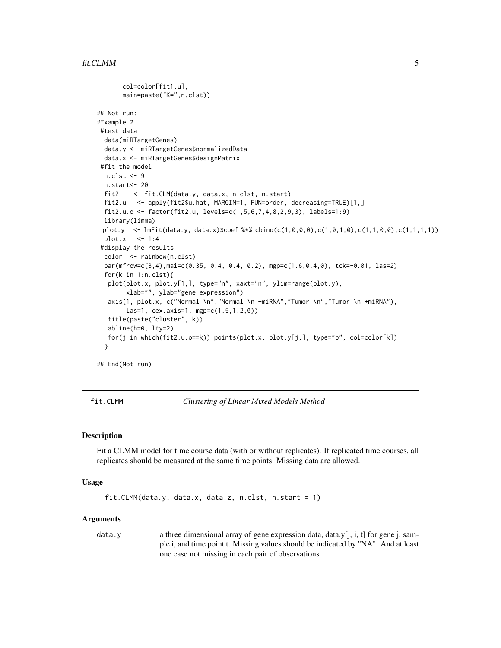```
col=color[fit1.u],
      main=paste("K=",n.clst))
## Not run:
#Example 2
#test data
 data(miRTargetGenes)
 data.y <- miRTargetGenes$normalizedData
 data.x <- miRTargetGenes$designMatrix
 #fit the model
 n.clst <- 9
 n.start<- 20
 fit2 <- fit.CLM(data.y, data.x, n.clst, n.start)
 fit2.u <- apply(fit2$u.hat, MARGIN=1, FUN=order, decreasing=TRUE)[1,]
 fit2.u.o <- factor(fit2.u, levels=c(1,5,6,7,4,8,2,9,3), labels=1:9)
 library(limma)
 plot.y <- lmFit(data.y, data.x)$coef %*% cbind(c(1,0,0,0),c(1,0,1,0),c(1,1,0,0),c(1,1,1,1))
 plot.x \leq -1:4#display the results
 color <- rainbow(n.clst)
 par(mfrow=c(3,4),mai=c(0.35, 0.4, 0.4, 0.2), mgp=c(1.6,0.4,0), tck=-0.01, las=2)
 for(k in 1:n.clst){
  plot(plot.x, plot.y[1,], type="n", xaxt="n", ylim=range(plot.y),
       xlab="", ylab="gene expression")
   axis(1, plot.x, c("Normal \n","Normal \n +miRNA","Tumor \n","Tumor \n +miRNA"),
       las=1, cex.axis=1, mgp=c(1.5,1.2,0))
   title(paste("cluster", k))
  abline(h=0, lty=2)
   for(j in which(fit2.u.o==k)) points(plot.x, plot.y[j,], type="b", col=color[k])
 }
```
## End(Not run)

<span id="page-4-1"></span>fit.CLMM *Clustering of Linear Mixed Models Method*

#### **Description**

Fit a CLMM model for time course data (with or without replicates). If replicated time courses, all replicates should be measured at the same time points. Missing data are allowed.

#### Usage

```
fit.CLMM(data.y, data.x, data.z, n.clst, n.start = 1)
```
#### **Arguments**

data.y a three dimensional array of gene expression data, data.y[j, i, t] for gene j, sample i, and time point t. Missing values should be indicated by "NA". And at least one case not missing in each pair of observations.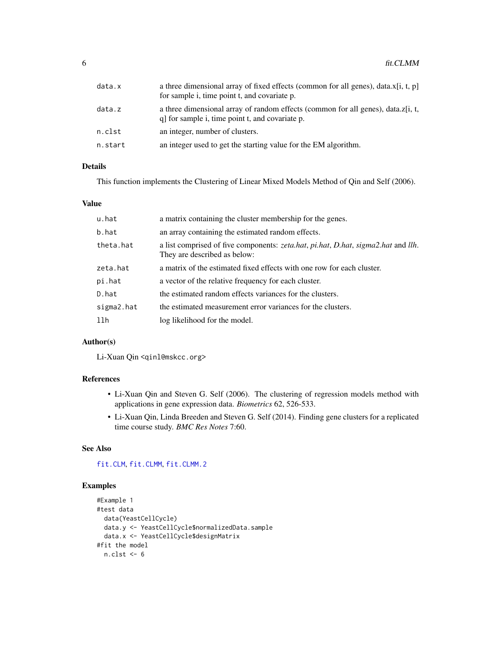<span id="page-5-0"></span>

| data.x  | a three dimensional array of fixed effects (common for all genes), data. $x[i, t, p]$<br>for sample i, time point t, and covariate p. |
|---------|---------------------------------------------------------------------------------------------------------------------------------------|
| data.z  | a three dimensional array of random effects (common for all genes), data.z[i, t,<br>q for sample i, time point t, and covariate p.    |
| n.clst  | an integer, number of clusters.                                                                                                       |
| n.start | an integer used to get the starting value for the EM algorithm.                                                                       |

## Details

This function implements the Clustering of Linear Mixed Models Method of Qin and Self (2006).

## Value

| u.hat      | a matrix containing the cluster membership for the genes.                                                         |
|------------|-------------------------------------------------------------------------------------------------------------------|
| b.hat      | an array containing the estimated random effects.                                                                 |
| theta.hat  | a list comprised of five components: zeta.hat, pi.hat, D.hat, sigma2.hat and llh.<br>They are described as below: |
| zeta.hat   | a matrix of the estimated fixed effects with one row for each cluster.                                            |
| pi.hat     | a vector of the relative frequency for each cluster.                                                              |
| D.hat      | the estimated random effects variances for the clusters.                                                          |
| sigma2.hat | the estimated measurement error variances for the clusters.                                                       |
| 11h        | log likelihood for the model.                                                                                     |

## Author(s)

Li-Xuan Qin <qinl@mskcc.org>

## References

- Li-Xuan Qin and Steven G. Self (2006). The clustering of regression models method with applications in gene expression data. *Biometrics* 62, 526-533.
- Li-Xuan Qin, Linda Breeden and Steven G. Self (2014). Finding gene clusters for a replicated time course study. *BMC Res Notes* 7:60.

## See Also

[fit.CLM](#page-2-1), [fit.CLMM](#page-4-1), [fit.CLMM.2](#page-7-1)

## Examples

```
#Example 1
#test data
  data(YeastCellCycle)
  data.y <- YeastCellCycle$normalizedData.sample
  data.x <- YeastCellCycle$designMatrix
#fit the model
  n.clst <- 6
```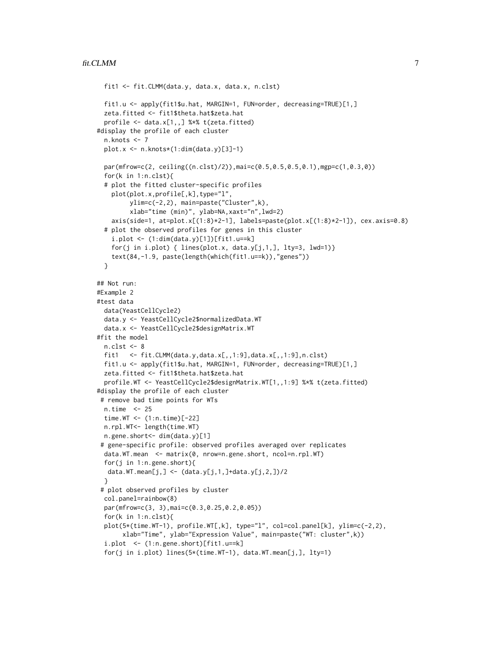```
fit1 <- fit.CLMM(data.y, data.x, data.x, n.clst)
 fit1.u <- apply(fit1$u.hat, MARGIN=1, FUN=order, decreasing=TRUE)[1,]
 zeta.fitted <- fit1$theta.hat$zeta.hat
 profile \leq data.x[1,,] %*% t(zeta.fitted)
#display the profile of each cluster
 n.knots <- 7
 plot.x <- n.knots*(1:dim(data.y)[3]-1)
 par(mfrow=c(2, ceiling((n.clst)/2)),mai=c(0.5,0.5,0.5,0.1),mgp=c(1,0.3,0))
 for(k in 1:n.clst){
 # plot the fitted cluster-specific profiles
    plot(plot.x,profile[,k],type="l",
         ylim=c(-2,2), main=paste("Cluster",k),
         xlab="time (min)", ylab=NA,xaxt="n",lwd=2)
    axis(side=1, at=plot.x[(1:8)*2-1], labels=paste(plot.x[(1:8)*2-1]), cex.axis=0.8)
 # plot the observed profiles for genes in this cluster
    i.plot <- (1:dim(data.y)[1])[fit1.u==k]
    for(j in i.plot) { lines(plot.x, data.y[j,1,], lty=3, lwd=1)}
    text(84,-1.9, paste(length(which(fit1.u==k)),"genes"))
 }
## Not run:
#Example 2
#test data
 data(YeastCellCycle2)
 data.y <- YeastCellCycle2$normalizedData.WT
 data.x <- YeastCellCycle2$designMatrix.WT
#fit the model
 n.class < -8fit1 <- fit.CLMM(data.y,data.x[,,1:9],data.x[,,1:9],n.clst)
 fit1.u <- apply(fit1$u.hat, MARGIN=1, FUN=order, decreasing=TRUE)[1,]
 zeta.fitted <- fit1$theta.hat$zeta.hat
 profile.WT <- YeastCellCycle2$designMatrix.WT[1,,1:9] %*% t(zeta.fitted)
#display the profile of each cluster
 # remove bad time points for WTs
 n.time <- 25
 time.WT <- (1:n.time)[-22]
 n.rpl.WT<- length(time.WT)
 n.gene.short<- dim(data.y)[1]
 # gene-specific profile: observed profiles averaged over replicates
 data.WT.mean <- matrix(0, nrow=n.gene.short, ncol=n.rpl.WT)
 for(j in 1:n.gene.short){
  data.WT.mean[j,] \leq (data.y[j,1,]+data.y[j,2,])/2
 }
 # plot observed profiles by cluster
 col.panel=rainbow(8)
 par(mfrow=c(3, 3),mai=c(0.3,0.25,0.2,0.05))
 for(k in 1:n.clst){
 plot(5*(time.WT-1), profile.WT[,k], type="l", col=col.panel[k], ylim=c(-2,2),
      xlab="Time", ylab="Expression Value", main=paste("WT: cluster",k))
  i.plot <- (1:n.gene.short)[fit1.u==k]
  for(j in i.plot) lines(5*(time.WT-1), data.WT.mean[j,], lty=1)
```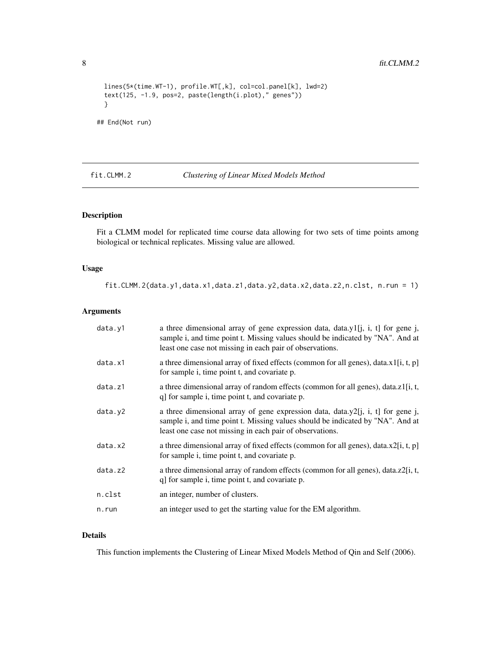```
lines(5*(time.WT-1), profile.WT[,k], col=col.panel[k], lwd=2)
 text(125, -1.9, pos=2, paste(length(i.plot)," genes"))
 }
## End(Not run)
```
<span id="page-7-1"></span>fit.CLMM.2 *Clustering of Linear Mixed Models Method*

## Description

Fit a CLMM model for replicated time course data allowing for two sets of time points among biological or technical replicates. Missing value are allowed.

## Usage

fit.CLMM.2(data.y1,data.x1,data.z1,data.y2,data.x2,data.z2,n.clst, n.run = 1)

## Arguments

| data.y1 | a three dimensional array of gene expression data, data.y1[j, i, t] for gene j,<br>sample i, and time point t. Missing values should be indicated by "NA". And at<br>least one case not missing in each pair of observations. |
|---------|-------------------------------------------------------------------------------------------------------------------------------------------------------------------------------------------------------------------------------|
| data.x1 | a three dimensional array of fixed effects (common for all genes), data. $x1[i, t, p]$<br>for sample i, time point t, and covariate p.                                                                                        |
| data.z1 | a three dimensional array of random effects (common for all genes), data.z1[i, t,<br>q] for sample i, time point t, and covariate p.                                                                                          |
| data.y2 | a three dimensional array of gene expression data, data.y2[j, i, t] for gene j,<br>sample i, and time point t. Missing values should be indicated by "NA". And at<br>least one case not missing in each pair of observations. |
| data.x2 | a three dimensional array of fixed effects (common for all genes), data. $x2[i, t, p]$<br>for sample i, time point t, and covariate p.                                                                                        |
| data.z2 | a three dimensional array of random effects (common for all genes), data.z2[i, t,<br>q] for sample i, time point t, and covariate p.                                                                                          |
| n.clst  | an integer, number of clusters.                                                                                                                                                                                               |
| n.run   | an integer used to get the starting value for the EM algorithm.                                                                                                                                                               |

## Details

This function implements the Clustering of Linear Mixed Models Method of Qin and Self (2006).

<span id="page-7-0"></span>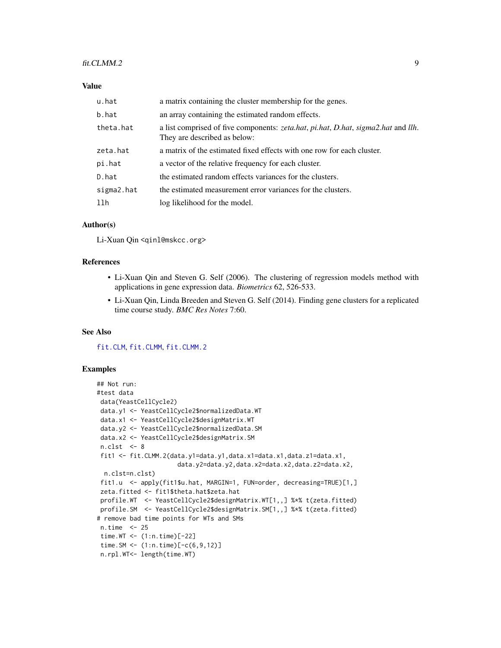#### <span id="page-8-0"></span>fit.CLMM.2 9

## Value

| u.hat      | a matrix containing the cluster membership for the genes.                                                         |
|------------|-------------------------------------------------------------------------------------------------------------------|
| b.hat      | an array containing the estimated random effects.                                                                 |
| theta.hat  | a list comprised of five components: zeta.hat, pi.hat, D.hat, sigma2.hat and llh.<br>They are described as below: |
| zeta.hat   | a matrix of the estimated fixed effects with one row for each cluster.                                            |
| pi.hat     | a vector of the relative frequency for each cluster.                                                              |
| D.hat      | the estimated random effects variances for the clusters.                                                          |
| sigma2.hat | the estimated measurement error variances for the clusters.                                                       |
| llh        | log likelihood for the model.                                                                                     |

## Author(s)

Li-Xuan Qin <qinl@mskcc.org>

## References

- Li-Xuan Qin and Steven G. Self (2006). The clustering of regression models method with applications in gene expression data. *Biometrics* 62, 526-533.
- Li-Xuan Qin, Linda Breeden and Steven G. Self (2014). Finding gene clusters for a replicated time course study. *BMC Res Notes* 7:60.

#### See Also

[fit.CLM](#page-2-1), [fit.CLMM](#page-4-1), [fit.CLMM.2](#page-7-1)

## Examples

```
## Not run:
#test data
data(YeastCellCycle2)
data.y1 <- YeastCellCycle2$normalizedData.WT
data.x1 <- YeastCellCycle2$designMatrix.WT
data.y2 <- YeastCellCycle2$normalizedData.SM
data.x2 <- YeastCellCycle2$designMatrix.SM
n.class < 8fit1 <- fit.CLMM.2(data.y1=data.y1,data.x1=data.x1,data.z1=data.x1,
                     data.y2=data.y2,data.x2=data.x2,data.z2=data.x2,
 n.clst=n.clst)
fit1.u <- apply(fit1$u.hat, MARGIN=1, FUN=order, decreasing=TRUE)[1,]
zeta.fitted <- fit1$theta.hat$zeta.hat
profile.WT <- YeastCellCycle2$designMatrix.WT[1,,] %*% t(zeta.fitted)
profile.SM <- YeastCellCycle2$designMatrix.SM[1,,] %*% t(zeta.fitted)
# remove bad time points for WTs and SMs
n.time <- 25
time.WT <- (1:n.time)[-22]
time.SM <- (1:n.time)[-c(6,9,12)]
n.rpl.WT<- length(time.WT)
```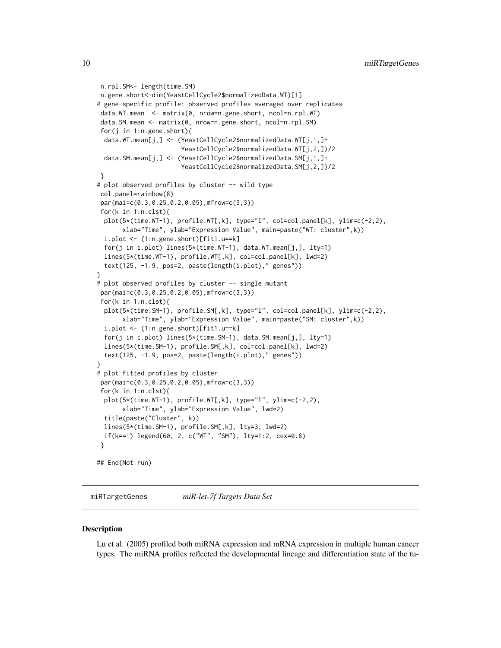```
n.rpl.SM<- length(time.SM)
n.gene.short<-dim(YeastCellCycle2$normalizedData.WT)[1]
# gene-specific profile: observed profiles averaged over replicates
data.WT.mean <- matrix(0, nrow=n.gene.short, ncol=n.rpl.WT)
 data.SM.mean <- matrix(0, nrow=n.gene.short, ncol=n.rpl.SM)
 for(j in 1:n.gene.short){
 data.WT.mean[j,] <- (YeastCellCycle2$normalizedData.WT[j,1,]+
                       YeastCellCycle2$normalizedData.WT[j,2,])/2
 data.SM.mean[j,] <- (YeastCellCycle2$normalizedData.SM[j,1,]+
                       YeastCellCycle2$normalizedData.SM[j,2,])/2
}
# plot observed profiles by cluster -- wild type
 col.panel=rainbow(8)
 par(mai=c(0.3,0.25,0.2,0.05),mfrow=c(3,3))
 for(k in 1:n.clst){
 plot(5*(time.WT-1), profile.WT[,k], type="l", col=col.panel[k], ylim=c(-2,2),
      xlab="Time", ylab="Expression Value", main=paste("WT: cluster",k))
 i.plot <- (1:n.gene.short)[fit1.u==k]
 for(j in i.plot) lines(5*(time.WT-1), data.WT.mean[j,], lty=1)
 lines(5*(time.WT-1), profile.WT[,k], col=col.panel[k], lwd=2)
 text(125, -1.9, pos=2, paste(length(i.plot)," genes"))
}
# plot observed profiles by cluster -- single mutant
 par(mai=c(0.3,0.25,0.2,0.05),mfrow=c(3,3))
 for(k in 1:n.clst){
 plot(5*(time.SM-1), profile.SM[,k], type="l", col=col.panel[k], ylim=c(-2,2),
      xlab="Time", ylab="Expression Value", main=paste("SM: cluster",k))
 i.plot <- (1:n.gene.short)[fit1.u==k]
 for(j in i.plot) lines(5*(time.SM-1), data.SM.mean[j,], lty=1)
 lines(5*(time.SM-1), profile.SM[,k], col=col.panel[k], lwd=2)
 text(125, -1.9, pos=2, paste(length(i.plot)," genes"))
}
# plot fitted profiles by cluster
par(mai=c(0.3,0.25,0.2,0.05),mfrow=c(3,3))
 for(k in 1:n.clst){
 plot(5*(time.WT-1), profile.WT[,k], type="l", ylim=c(-2,2),
      xlab="Time", ylab="Expression Value", lwd=2)
 title(paste("Cluster", k))
 lines(5*(time.SM-1), profile.SM[,k], lty=3, lwd=2)
 if(k==1) legend(60, 2, c("WT", "SM"), lty=1:2, cex=0.8)
 }
## End(Not run)
```
miRTargetGenes *miR-let-7f Targets Data Set*

#### **Description**

Lu et al. (2005) profiled both miRNA expression and mRNA expression in multiple human cancer types. The miRNA profiles reflected the developmental lineage and differentiation state of the tu-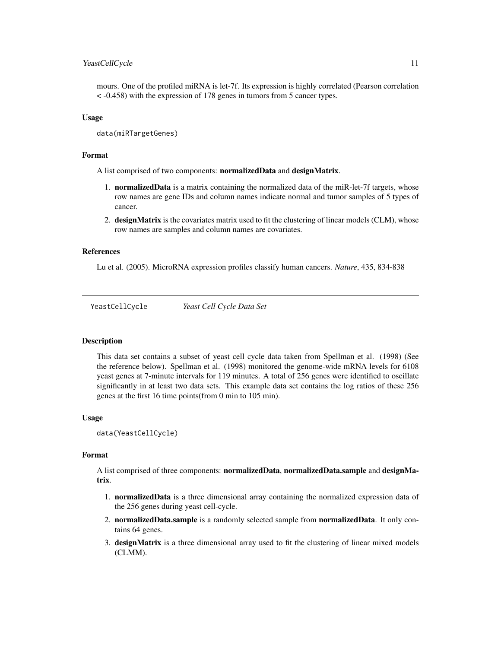## <span id="page-10-0"></span>YeastCellCycle 11

mours. One of the profiled miRNA is let-7f. Its expression is highly correlated (Pearson correlation < -0.458) with the expression of 178 genes in tumors from 5 cancer types.

## Usage

data(miRTargetGenes)

#### Format

A list comprised of two components: normalizedData and designMatrix.

- 1. **normalizedData** is a matrix containing the normalized data of the miR-let-7f targets, whose row names are gene IDs and column names indicate normal and tumor samples of 5 types of cancer.
- 2. designMatrix is the covariates matrix used to fit the clustering of linear models (CLM), whose row names are samples and column names are covariates.

## References

Lu et al. (2005). MicroRNA expression profiles classify human cancers. *Nature*, 435, 834-838

YeastCellCycle *Yeast Cell Cycle Data Set*

## **Description**

This data set contains a subset of yeast cell cycle data taken from Spellman et al. (1998) (See the reference below). Spellman et al. (1998) monitored the genome-wide mRNA levels for 6108 yeast genes at 7-minute intervals for 119 minutes. A total of 256 genes were identified to oscillate significantly in at least two data sets. This example data set contains the log ratios of these 256 genes at the first 16 time points(from 0 min to 105 min).

## Usage

data(YeastCellCycle)

## Format

A list comprised of three components: normalizedData, normalizedData.sample and designMatrix.

- 1. normalizedData is a three dimensional array containing the normalized expression data of the 256 genes during yeast cell-cycle.
- 2. normalizedData.sample is a randomly selected sample from normalizedData. It only contains 64 genes.
- 3. designMatrix is a three dimensional array used to fit the clustering of linear mixed models (CLMM).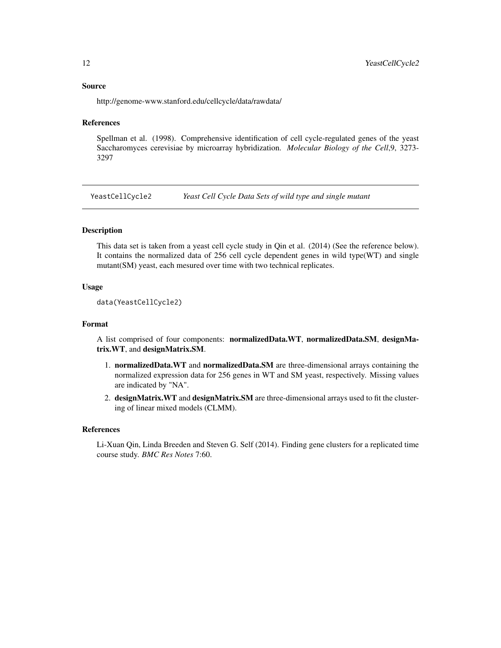#### <span id="page-11-0"></span>Source

http://genome-www.stanford.edu/cellcycle/data/rawdata/

#### References

Spellman et al. (1998). Comprehensive identification of cell cycle-regulated genes of the yeast Saccharomyces cerevisiae by microarray hybridization. *Molecular Biology of the Cell*,9, 3273- 3297

YeastCellCycle2 *Yeast Cell Cycle Data Sets of wild type and single mutant*

## Description

This data set is taken from a yeast cell cycle study in Qin et al. (2014) (See the reference below). It contains the normalized data of 256 cell cycle dependent genes in wild type(WT) and single mutant(SM) yeast, each mesured over time with two technical replicates.

## Usage

```
data(YeastCellCycle2)
```
#### Format

A list comprised of four components: normalizedData.WT, normalizedData.SM, designMatrix.WT, and designMatrix.SM.

- 1. normalizedData.WT and normalizedData.SM are three-dimensional arrays containing the normalized expression data for 256 genes in WT and SM yeast, respectively. Missing values are indicated by "NA".
- 2. designMatrix.WT and designMatrix.SM are three-dimensional arrays used to fit the clustering of linear mixed models (CLMM).

#### References

Li-Xuan Qin, Linda Breeden and Steven G. Self (2014). Finding gene clusters for a replicated time course study. *BMC Res Notes* 7:60.